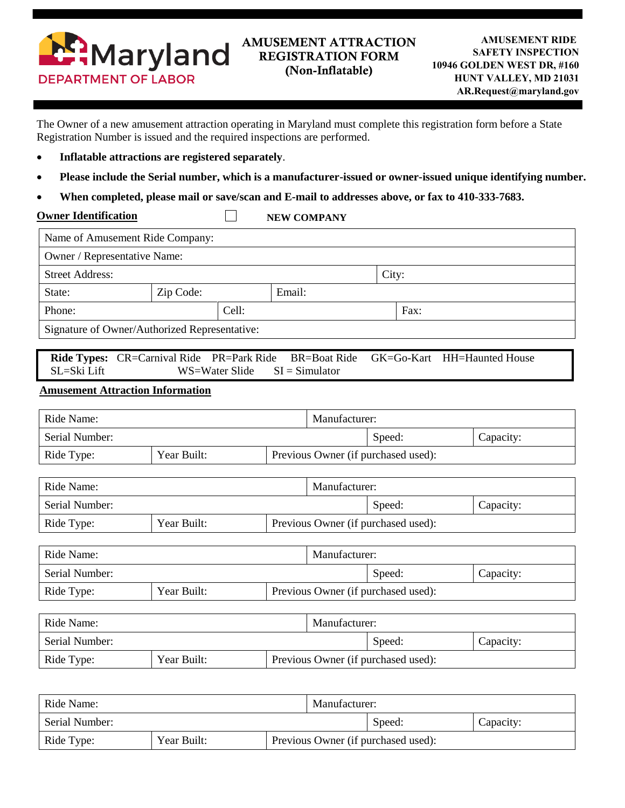

The Owner of a new amusement attraction operating in Maryland must complete this registration form before a State Registration Number is issued and the required inspections are performed.

- **Inflatable attractions are registered separately**.
- **Please include the Serial number, which is a manufacturer-issued or owner-issued unique identifying number.**
- **When completed, please mail or save/scan and E-mail to addresses above, or fax to 410-333-7683.**

 $\Box$ 

**Owner Identification** 

**NEW COMPANY**

| Name of Amusement Ride Company:                                                                                                                             |                                                    |  |                                     |               |        |           |           |  |
|-------------------------------------------------------------------------------------------------------------------------------------------------------------|----------------------------------------------------|--|-------------------------------------|---------------|--------|-----------|-----------|--|
| Owner / Representative Name:                                                                                                                                |                                                    |  |                                     |               |        |           |           |  |
| <b>Street Address:</b>                                                                                                                                      |                                                    |  |                                     |               | City:  |           |           |  |
| State:                                                                                                                                                      | Zip Code:<br>Email:                                |  |                                     |               |        |           |           |  |
| Phone:                                                                                                                                                      | Cell:                                              |  |                                     | Fax:          |        |           |           |  |
| Signature of Owner/Authorized Representative:                                                                                                               |                                                    |  |                                     |               |        |           |           |  |
| Ride Types: CR=Carnival Ride PR=Park Ride<br><b>BR=Boat Ride</b><br>GK=Go-Kart HH=Haunted House<br>SL=Ski Lift<br>$SI = Simulator$<br><b>WS=Water Slide</b> |                                                    |  |                                     |               |        |           |           |  |
| <b>Amusement Attraction Information</b>                                                                                                                     |                                                    |  |                                     |               |        |           |           |  |
| Ride Name:                                                                                                                                                  |                                                    |  |                                     | Manufacturer: |        |           |           |  |
| Serial Number:                                                                                                                                              |                                                    |  |                                     |               | Speed: |           | Capacity: |  |
| Ride Type:                                                                                                                                                  | Year Built:<br>Previous Owner (if purchased used): |  |                                     |               |        |           |           |  |
|                                                                                                                                                             |                                                    |  |                                     |               |        |           |           |  |
| Ride Name:                                                                                                                                                  |                                                    |  | Manufacturer:                       |               |        |           |           |  |
| Serial Number:                                                                                                                                              |                                                    |  | Speed:<br>Capacity:                 |               |        |           |           |  |
| Ride Type:                                                                                                                                                  | Year Built:<br>Previous Owner (if purchased used): |  |                                     |               |        |           |           |  |
| Ride Name:                                                                                                                                                  |                                                    |  | Manufacturer:                       |               |        |           |           |  |
| Serial Number:                                                                                                                                              |                                                    |  |                                     | Speed:        |        | Capacity: |           |  |
| Ride Type:                                                                                                                                                  | Year Built:                                        |  | Previous Owner (if purchased used): |               |        |           |           |  |
|                                                                                                                                                             |                                                    |  |                                     |               |        |           |           |  |
| Ride Name:                                                                                                                                                  |                                                    |  | Manufacturer:                       |               |        |           |           |  |
| Serial Number:                                                                                                                                              |                                                    |  |                                     | Speed:        |        | Capacity: |           |  |
| Ride Type:                                                                                                                                                  | Year Built:                                        |  | Previous Owner (if purchased used): |               |        |           |           |  |
|                                                                                                                                                             |                                                    |  |                                     |               |        |           |           |  |

| Ride Name:     |             |                                     | Manufacturer: |        |           |  |
|----------------|-------------|-------------------------------------|---------------|--------|-----------|--|
| Serial Number: |             |                                     |               | Speed: | Capacity: |  |
| Ride Type:     | Year Built: | Previous Owner (if purchased used): |               |        |           |  |